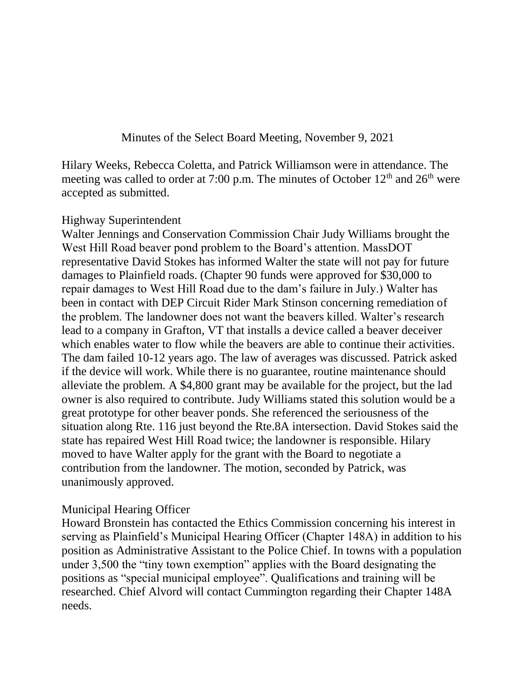Minutes of the Select Board Meeting, November 9, 2021

Hilary Weeks, Rebecca Coletta, and Patrick Williamson were in attendance. The meeting was called to order at 7:00 p.m. The minutes of October  $12<sup>th</sup>$  and  $26<sup>th</sup>$  were accepted as submitted.

#### Highway Superintendent

Walter Jennings and Conservation Commission Chair Judy Williams brought the West Hill Road beaver pond problem to the Board's attention. MassDOT representative David Stokes has informed Walter the state will not pay for future damages to Plainfield roads. (Chapter 90 funds were approved for \$30,000 to repair damages to West Hill Road due to the dam's failure in July.) Walter has been in contact with DEP Circuit Rider Mark Stinson concerning remediation of the problem. The landowner does not want the beavers killed. Walter's research lead to a company in Grafton, VT that installs a device called a beaver deceiver which enables water to flow while the beavers are able to continue their activities. The dam failed 10-12 years ago. The law of averages was discussed. Patrick asked if the device will work. While there is no guarantee, routine maintenance should alleviate the problem. A \$4,800 grant may be available for the project, but the lad owner is also required to contribute. Judy Williams stated this solution would be a great prototype for other beaver ponds. She referenced the seriousness of the situation along Rte. 116 just beyond the Rte.8A intersection. David Stokes said the state has repaired West Hill Road twice; the landowner is responsible. Hilary moved to have Walter apply for the grant with the Board to negotiate a contribution from the landowner. The motion, seconded by Patrick, was unanimously approved.

#### Municipal Hearing Officer

Howard Bronstein has contacted the Ethics Commission concerning his interest in serving as Plainfield's Municipal Hearing Officer (Chapter 148A) in addition to his position as Administrative Assistant to the Police Chief. In towns with a population under 3,500 the "tiny town exemption" applies with the Board designating the positions as "special municipal employee". Qualifications and training will be researched. Chief Alvord will contact Cummington regarding their Chapter 148A needs.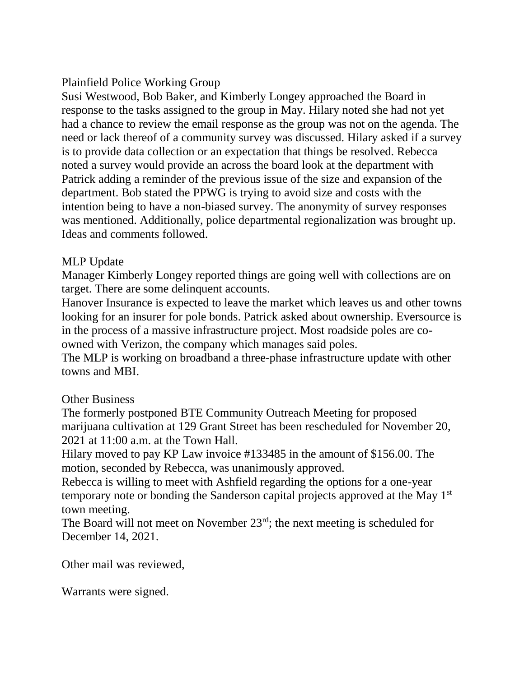# Plainfield Police Working Group

Susi Westwood, Bob Baker, and Kimberly Longey approached the Board in response to the tasks assigned to the group in May. Hilary noted she had not yet had a chance to review the email response as the group was not on the agenda. The need or lack thereof of a community survey was discussed. Hilary asked if a survey is to provide data collection or an expectation that things be resolved. Rebecca noted a survey would provide an across the board look at the department with Patrick adding a reminder of the previous issue of the size and expansion of the department. Bob stated the PPWG is trying to avoid size and costs with the intention being to have a non-biased survey. The anonymity of survey responses was mentioned. Additionally, police departmental regionalization was brought up. Ideas and comments followed.

### MLP Update

Manager Kimberly Longey reported things are going well with collections are on target. There are some delinquent accounts.

Hanover Insurance is expected to leave the market which leaves us and other towns looking for an insurer for pole bonds. Patrick asked about ownership. Eversource is in the process of a massive infrastructure project. Most roadside poles are coowned with Verizon, the company which manages said poles.

The MLP is working on broadband a three-phase infrastructure update with other towns and MBI.

## Other Business

The formerly postponed BTE Community Outreach Meeting for proposed marijuana cultivation at 129 Grant Street has been rescheduled for November 20, 2021 at 11:00 a.m. at the Town Hall.

Hilary moved to pay KP Law invoice #133485 in the amount of \$156.00. The motion, seconded by Rebecca, was unanimously approved.

Rebecca is willing to meet with Ashfield regarding the options for a one-year temporary note or bonding the Sanderson capital projects approved at the May 1st town meeting.

The Board will not meet on November  $23<sup>rd</sup>$ ; the next meeting is scheduled for December 14, 2021.

Other mail was reviewed,

Warrants were signed.